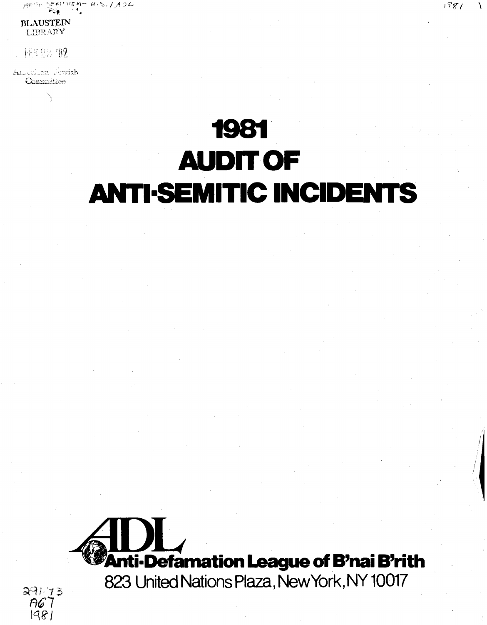$F\!\!\!\!\downarrow P\!\!\!\!\!\uparrow P\!\!\!\!\!\uparrow \uparrow \uparrow \uparrow \uparrow$  $\frac{1}{2}$   $\frac{1}{2}$   $\frac{1}{2}$   $\frac{1}{2}$   $\frac{1}{2}$   $\frac{1}{2}$   $\frac{1}{2}$   $\frac{1}{2}$   $\frac{1}{2}$   $\frac{1}{2}$   $\frac{1}{2}$   $\frac{1}{2}$   $\frac{1}{2}$   $\frac{1}{2}$   $\frac{1}{2}$   $\frac{1}{2}$   $\frac{1}{2}$   $\frac{1}{2}$   $\frac{1}{2}$   $\frac{1}{2}$   $\frac{1}{2}$   $\frac{1}{2}$  **BLAUSTEIN** 

LIBRARY

FF8 22 '82

American Jewish Commutice

# 1981 **AUDIT OF ANTI-SEMITIC INCIDENTS**



823 United Nations Plaza, New York, NY 10017

 $291.73$  $P67$  $1981$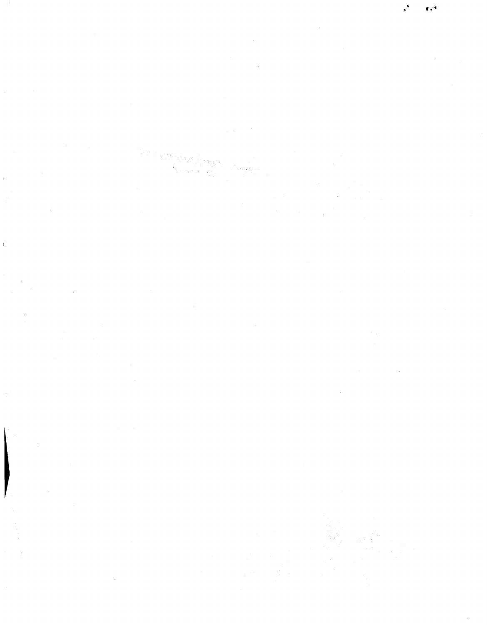$\frac{1}{\sqrt{2}}$ 

 $\sim 10^{11}$ 

 $\label{eq:2.1} \frac{d\mathbf{r}}{dt} = \frac{1}{2} \left[ \frac{d\mathbf{r}}{dt} + \frac{d\mathbf{r}}{dt} \right] \mathbf{r} + \frac{d\mathbf{r}}{dt} \mathbf{r} + \frac{d\mathbf{r}}{dt} \mathbf{r} + \frac{d\mathbf{r}}{dt} \mathbf{r} + \frac{d\mathbf{r}}{dt} \mathbf{r} + \frac{d\mathbf{r}}{dt} \mathbf{r} + \frac{d\mathbf{r}}{dt} \mathbf{r} + \frac{d\mathbf{r}}{dt} \mathbf{r} + \frac{d\mathbf{r}}$ 

 $\sim$   $\sim$  $\sim 10^{-11}$  $\mathcal{L}^{\text{max}}_{\text{max}}$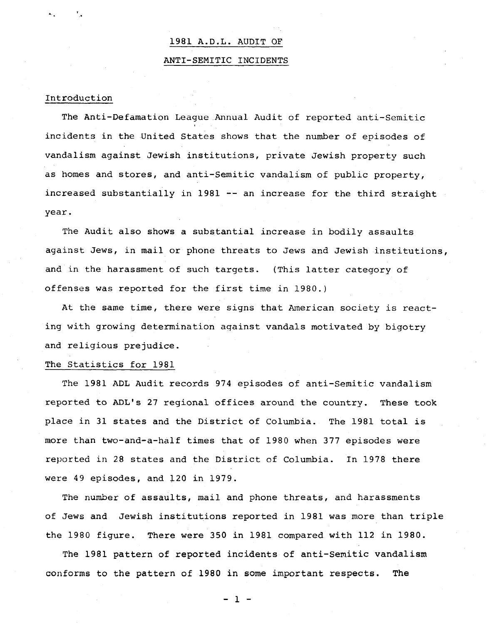## **1981 A.D.L. AUDIT QF**

#### **ANTI-SEMITIC INCIDENTS**

#### **Introduction**

**The Anti-Defamation League Annual Audit of reported anti-Semitic incidents in the United States shows that the number of episodes of vandalism against Jewish institutions, private Jewish property such as homes and stores, and anti-Semitic vandalism of public property, increased substantially in 1981 -- an increase for the third straight year.** 

**The Audit also shows a substantial increase in bodily assaults against Jews, in mail or phone threats to Jews and Jewish institutions, and in the harassment of such targets. (This latter category of offenses was reported for the first time in 1980.)** 

**At the same time, there were signs that American society is reacting with growing determination against vandals motivated by bigotry and religious prejudice.** 

#### **The Statistics for 1981**

**The 1981 ADL Audit records 974 episodes of anti-Semitic vandalism reported to ADL's 27 regional offices around the country. These took place in 31 states and the District of Columbia. The 1981 total is more than two-and-a-half times that of 1980 when 377 episodes were reported in 28 states and the District of Columbia. In 1978 there were 49 episodes, and 120 in 1979.** 

**The number of assaults, mail and phone threats, and harassments of Jews and Jewish institutions reported in 1981 was more than triple the 1980 figure. There were 350 in 1981 compared with 112 in 1980.** 

**The 1981 pattern of reported incidents of anti-Semitic vandalism conforms to the pattern of 1980 in some important respects. The** 

 $-1$   $-$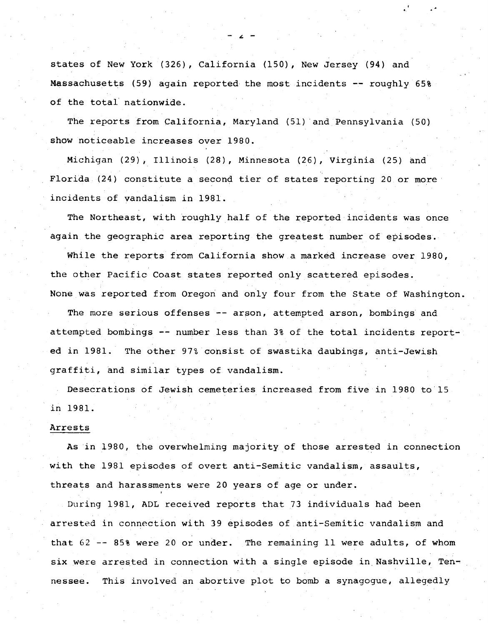**states of New York (326) , California (150) , New Jersey (94) and Massachusetts (59) again reported the most incidents — roughly 65% of the total nationwide.** 

**The reports from California, Maryland (51) and Pennsylvania (50)**  show noticeable increases over 1980.

**Michigan (29)> Illinois (28), Minnesota (26), Virginia (25) and Florida (24) constitute a second tier of states reporting 20 or more incidents of vandalism in 1981.** 

**The Northeast, with roughly half of the reported incidents was once again the geographic area reporting the greatest number of episodes.** 

**While the reports from California show a marked increase over 1980, the other Pacific Coast states reported only scattered episodes. None was reported from Oregon and only four from the State of Washington.** 

**The more serious offenses -- arson, attempted arson, bombings and attempted bombings — number less than 3% of the total incidents reported in 1981. The other 97% consist of swastika daubings, anti-Jewish graffiti, and similar types of vandalism.** 

**Desecrations of Jewish cemeteries increased from five in 1980 to 15 in 1981.** 

### **Arrests**

**As in 1980, the overwhelming majority of those arrested in connection with the 1981 episodes of overt anti-Semitic vandalism, assaults, threats and harassments were 20 years of age or under.** 

**During 1981, ADL received reports that 73 individuals had been arrested in connection with 39 episodes of anti-Semitic vandalism and that 62'-- 85% were 20 or under. The remaining 11 were adults, of whom**  six were arrested in connection with a single episode in Nashville, Ten**nessee. This involved an abortive plot to bomb a synagogue, allegedly**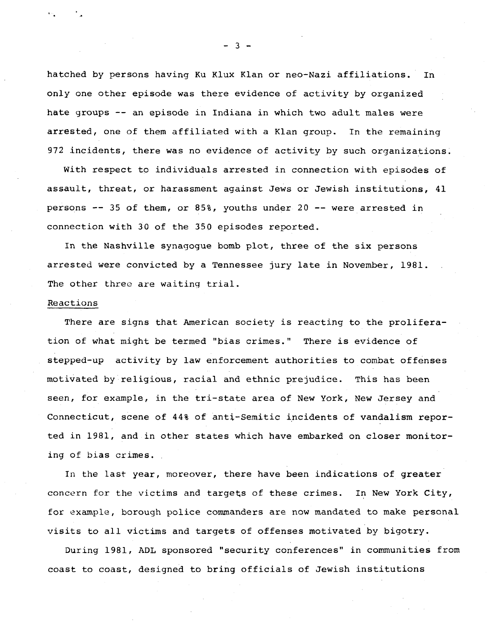**hatched by persons having Ku Klux Klan or neo-Nazi affiliations. In only one other episode was there evidence of activity by organized hate groups -- an episode in Indiana in which two adult males were arrested, one of them affiliated with a Klan group. In the remaining 972 incidents, there was no evidence of activity by such organizations.** 

**With respect to individuals arrested in connection with episodes of assault, threat, or harassment against Jews or Jewish institutions, 41**  persons -- 35 of them, or 85%, youths under 20 -- were arrested in connection with 30 of the 350 episodes reported.

**In the Nashville synagogue bomb plot, three of the six persons arrested were convicted by a Tennessee jury late in November, 1981. The other three are waiting trial.** 

#### **Reactions**

**There are signs that American society is reacting to the proliferation of what might be termed "bias crimes." There is evidence of stepped-up activity by law enforcement authorities to combat offenses motivated by religious, racial and ethnic prejudice. This has been seen, for example, in the tri-state area of New York, New Jersey and Connecticut, scene of 44% of anti-Semitic incidents of vandalism reported in 1981, and in other states which have embarked on closer monitoring of bias crimes. .** 

**In the last year, moreover, there have been indications of greater concern for the victims and targets of these crimes. In New York City, for example, borough police commanders are now mandated to make personal visits to all victims and targets of offenses motivated by bigotry.** 

**During 1981, ADL sponsored "security conferences" in communities from coast to coast, designed to bring officials of Jewish institutions** 

- 3 -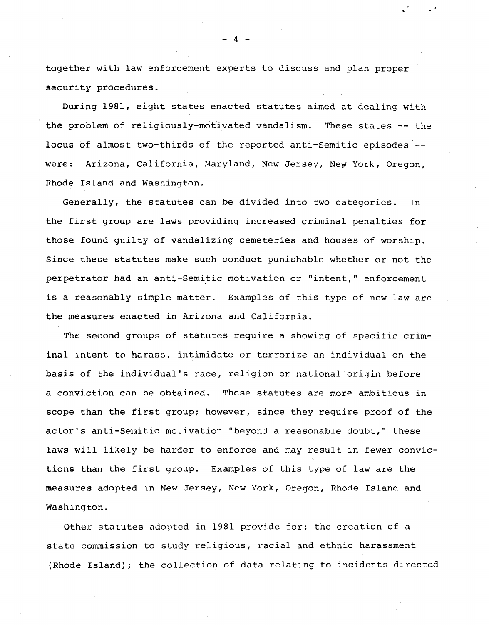**togethe r wit h la w enforcemen t expert s t o discus s an d pla n prope r**   $security$  procedures.

**Durin g 1981 , eigh t state s enacte d statute s aime d a t dealin g wit h the problem of religiously-motivated vandalism. These states -- the** locus of almost two-thirds of the reported anti-Semitic episodes -**were : Arizona , California , Maryland , Ne w Jersey , Ne w York , Oregon , Rhode Island and Washington.** 

**Generally , th e statute s ca n b e divide d int o tw o categories . I n t h e firs t grou p ar e law s providin g increase d crimina l penaltie s fo r thos e foun d guilt y o f vandalizin g cemeterie s an d house s o f worship . Sinc e thes e statute s mak e suc h conduc t punishabl e whethe r o r no t th e perpetrato r ha d a n anti-Semiti c motivatio n o r "intent, " enforcemen t i s a reasonabl y simpl e matter . Example s o f thi s typ e o f ne w la w ar e t h e measure s enacte d in Arizon a an d California .** 

**The second groups of statutes require a showing of specific crimina l inten t t o harass , intimidat e o r terroriz e a n individua l o n th e basi s o f th e individual' s race , religio n o r nationa l origi n befor e a convictio n ca n b e obtained . Thes e statute s ar e mor e ambitiou s i n scop e tha n th e firs t group ; however , sinc e the y requir e proo f o f th e actor' s anti-Semiti c motivatio n "beyon d a reasonabl e doubt, " thes e law s wil l likel y b e harde r t o enforc e an d ma y resul t in fewe r convic tion s tha n th e firs t group . Example s o f thi s typ e o f la w ar e th e measure s adopte d i n Ne w Jersey , Ne w York , Oregon , Rhod e Islan d an d Washington .** 

**Othe r statute s adopte d in 198 1 provid e for : th e creatio n o f a stat e commissio n t o stud y religious , racia l an d ethni c harassmen t (Rhod e Island) ; th e collectio n o f dat a relatin g t o incident s directe d** 

- 4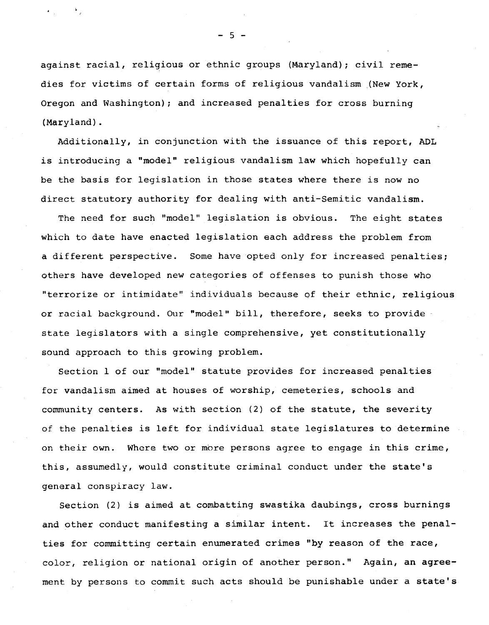**against racial, religious or ethnic groups (Maryland); civil remedies for victims of certain forms of religious vandalism (New York, Oregon and Washington); and increased penalties for cross burning (Maryland).** 

**Additionally, in conjunction with the issuance of this report, ADL is introducing a "model" religious vandalism law which hopefully can be the basis for legislation in those states where there is now no direct statutory authority for dealing with anti-Semitic vandalism.** 

**The need for such "model" legislation is obvious. The eight states which to date have enacted legislation each address the problem from a different perspective. Some have opted only for increased penalties; others have developed new categories of offenses to punish those who "terrorize or intimidate" individuals because of their ethnic, religious or racial background. Our "model" bill, therefore, seeks to provide state legislators with a single comprehensive, yet constitutionally sound approach to this growing problem.** 

**Section 1 of our "model" statute provides for increased penalties for vandalism aimed at houses of worship, cemeteries, schools and community centers. As with section (2) of the statute, the severity of the penalties is left for individual state legislatures to determine on their own. Where two or more persons agree to engage in this crime, this, assumedly, would constitute criminal conduct under the state's general conspiracy law.** 

**Section (2) is aimed at combatting swastika daubings, cross burnings and other conduct manifesting a similar intent. It increases the penalties for committing certain enumerated crimes "by reason of the race, color, religion or national origin of another person." Again, an agreemerit by persons to commit such acts should be punishable under a state's** 

**- 5 -**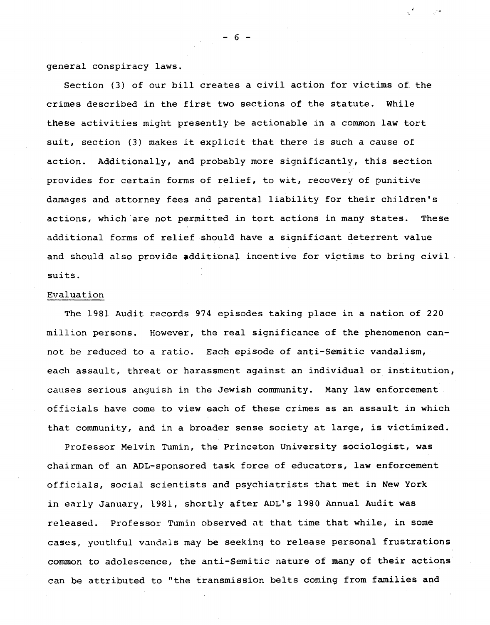**general conspiracy laws.** 

**Section (3) of our bill creates a civil action for victims of the crimes described in the first two sections of the statute. While these activities might presently be actionable in a common law tort suit, section (3) makes it explicit that there is such a cause of action. Additionally, and probably more significantly, this section provides for certain forms of relief, to wit, recovery of punitive damages and attorney fees and parental liability for their children's actions, which are not permitted in tort actions in many states. These additional forms of relief should have a significant deterrent value and should also provide additional incentive for victims to bring civil suits.** 

#### **Evaluation**

**The 1981 Audit records 974 episodes taking place in a nation of 2 20 million persons. However, the real significance of the phenomenon cannot be reduced to a ratio. Each episode of anti-Semitic vandalism, each assault, threat or harassment against an individual or institution, causes serious anguish in the Jewish community. Many law enforcement officials have come to view each of these crimes as an assault in which that community, and in a broader sense society at large, is victimized.** 

**Professor Melvin Tumin, the Princeton University sociologist, was chairman of an ADL-sponsored task force of educators, law enforcement officials, social scientists and psychiatrists that met in New York in early January, 1981, shortly after ADL's 1980 Annual Audit was released. Professor Tumin observed at that time that while, in some cases, youthful vandals may be seeking to release personal frustrations common to adolescence, the anti-Semitic nature of many of their actions can be attributed to "the transmission belts coming from families and** 

**- 6 -**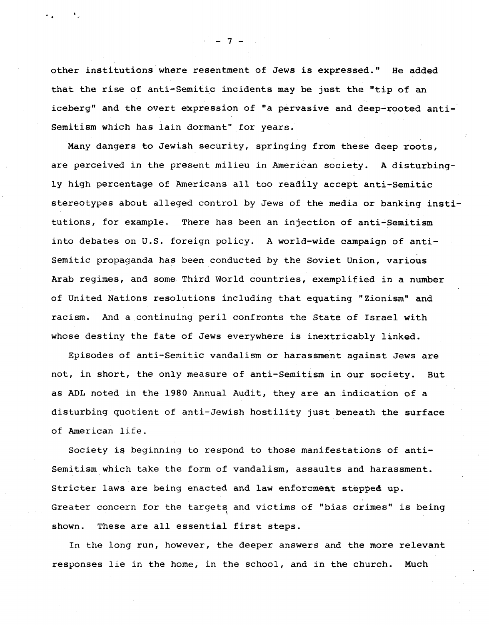**other institutions where resentment of Jews is expressed." He added that the rise of anti-Semitic incidents may be just the "tip of an iceberg" and the overt expression of "a pervasive and deep-rooted anti-Semitism which has lain dormant" for years.** 

**Many dangers to Jewish security, springing from these deep roots, are perceived in the present milieu in American society. A disturbingly high percentage of Americans all too readily accept anti-Semitic stereotypes about alleged control by Jews of the media or banking institutions, for example. There has been an injection of anti-Semitism into debates on U.S. foreign policy. A world-wide campaign of anti-Semitic propaganda has been conducted by the Soviet Union, various Arab regimes, and some Third World countries, exemplified in a number of United Nations resolutions including that equating "Zionism" and racism. And a continuing peril confronts the State of Israel with whose destiny the fate of Jews everywhere is inextricably linked.** 

**Episodes of anti-Semitic vandalism or harassment against Jews are not, in short, the only measure of anti-Semitism in our society. But as ADL noted in the 1980 Annual Audit, they are an indication of a disturbing quotient of anti-Jewish hostility just beneath the surface of American life.** 

**Society is beginning to respond to those manifestations of anti-Semitism which take the form of vandalism, assaults and harassment. Stricter laws are being enacted and law enforcmeat stepped up. Greater concern for the targets and victims of "bias crimes" is being shown. These are all essential first steps.** 

**In the long run, however, the deeper answers and the more relevant responses lie in the home, in the school, and in the church. Much** 

*- ר -*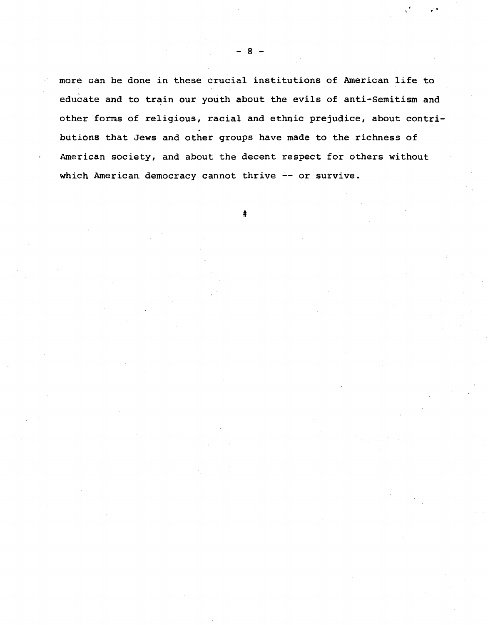**more can be done in these crucial institutions of American life to educate and to train our youth about the evils of anti-Semitism and other forms of religious, racial and ethnic prejudice, about contributions that Jews and other groups have made to the richness of American society, and about the decent respect for others without which American, democracy cannot thrive -- or survive.** 

#

 $\overline{\mathbf{8}}$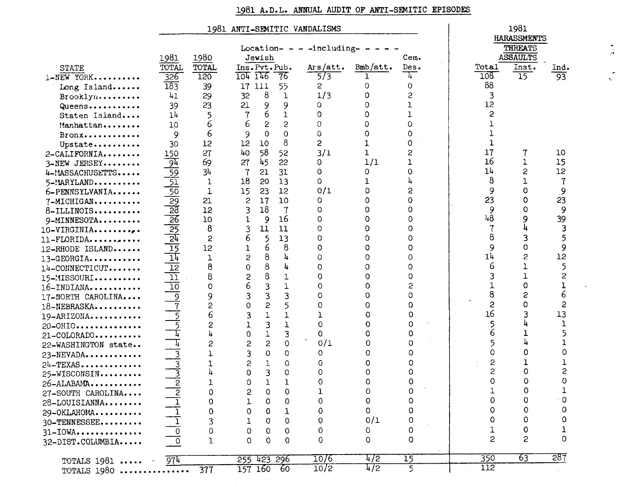## 1981 A.D.L. ANNUAL AUDIT OF ANTI-SEMITIC EPISODES

1981

÷.

 $\ddot{\phantom{0}}$ 

 $\overline{\phantom{a}}$ 

## 1981 ANTI-SEMITIC VANDALISMS

|                                       |                                                                                 |                     |                                       |          |               |                 | <b>HARASSMENTS</b> |                 |                 |
|---------------------------------------|---------------------------------------------------------------------------------|---------------------|---------------------------------------|----------|---------------|-----------------|--------------------|-----------------|-----------------|
|                                       |                                                                                 |                     | -including-<br>Location- $-$ -        |          |               |                 | <b>THREATS</b>     |                 |                 |
|                                       | 1981                                                                            | 1980                | Jewish                                |          |               | Cem.            |                    | <b>ASSAULTS</b> |                 |
| <b>STATE</b>                          | TOTAL                                                                           | <b>TOTAL</b>        | Ins. Pvt. Pub.                        | Ars/att. | Bmb/att.      | Des.            | $\mathtt{Total}$   | Inst.           | Ind.            |
| $1-NEW$ YORK                          | 326                                                                             | 120                 | 104 146<br>76                         | 573      | 1             | 4               | 108                | $\overline{15}$ | $\overline{93}$ |
| Long Island                           | 183                                                                             | 39                  | 17 <sub>1</sub><br>111<br>55          | 2        | 0             | 0               | 88                 |                 |                 |
| Brooklyn                              | 41                                                                              | 29                  | 8<br>$\mathbf{1}$<br>32               | 1/3      | O             | 2               | 3                  |                 |                 |
| Queens                                | 39                                                                              | 23                  | 9<br>21<br>9                          | 0.       | Ω             |                 | 12                 |                 |                 |
| Staten Island                         | 14                                                                              | 5                   | 6<br>$\mathbf 1$                      | 0        | Ω             |                 | 2                  |                 |                 |
| Manhattan                             | 10                                                                              | 6                   | $\overline{c}$<br>6<br>2              | $\Omega$ | 0             | 0               |                    |                 |                 |
| Bronx                                 | 9                                                                               | 6                   | 9<br>$\Omega$<br>$\Omega$             | 0        | $\Omega$      | 0               |                    |                 |                 |
| Upstate                               | 30                                                                              | 12                  | 8<br>12<br>10                         | 2        |               | 0               |                    |                 |                 |
| $2$ -CALIFORNIA                       | 150                                                                             | 27                  | 58<br>40<br>52                        | 3/1      | 1             | 2               | 17                 |                 | 10              |
| 3-NEW JERSEY                          |                                                                                 | 69                  | 45<br>22<br>27                        | 0.       | 1/1           |                 | 16                 | ı               | 15              |
| 4-MASSACHUSETTS                       |                                                                                 | 3 <sup>h</sup>      | 31<br>21                              | 0        | 0             | 0               | 14                 | $\mathbf{c}$    | 12              |
| $5-14$ ARYLAND                        |                                                                                 | $\mathbf 1$         | 18<br>20<br>13                        | 0.       |               |                 | 8                  | 1               | 7               |
| $6 -$ PENNSYLVANIA                    |                                                                                 | $\mathbf{1}$        | 12<br>15<br>23                        | 0/1      | 0             | 2               | 9                  | 0               | 9               |
| $7-MICHIGAN$                          | $\frac{94}{59}$ $\frac{59}{29}$ $\frac{51}{29}$ $\frac{50}{29}$ $\frac{29}{28}$ | 21                  | 17<br>10<br>2                         | 0        | O             | 0               | 23                 | 0               | 23              |
| $8$ -ILLINOIS                         |                                                                                 | 12                  | 18<br>3<br>$\overline{7}$             | 0        | 0             | 0               | 9                  | 0               | 9               |
| 9-MINNESOTA                           | $\frac{26}{25}$                                                                 | 10                  | 16<br>1<br>9                          | 0        | 0             | 0               | 48                 | 9               | 39              |
| $10-VIRGINIA$                         |                                                                                 | 8                   | 11<br>3<br>11                         | 0        | 0             | 0               |                    | 4               | 3               |
| $11 - \text{FLORLDA}$                 | $\overline{24}$                                                                 | $\overline{c}$      | 6<br>5<br>13                          | 0        | 0             | 0               | 8                  | 3               | 5               |
| 12-RHODE ISLAND                       | $\overline{15}$                                                                 | 12                  | 6<br>8<br>ı                           | 0        | 0             | 0               | 9                  | 0               | 9               |
| 13-GEORGIA                            | $\overline{14}$                                                                 | $\mathbf{1}$        | 8<br>4<br>2                           | 0        | 0             | 0               | 14                 | 2               | 12              |
| $14 - \text{COMNECTICUT} \dots \dots$ |                                                                                 | 8                   | 8<br>4<br>$\Omega$                    | 0        | 0             | 0               | 6                  | ı               | 5               |
| 15-MISSOURI                           | $\frac{12}{11}$                                                                 | 8                   | 8<br>$\overline{c}$<br>1              | $\Omega$ | $\Omega$      | 0               |                    | ı               | 2               |
| $16$ -INDIANA                         |                                                                                 | $\mathbf 0$         | 6<br>3                                | 0        | 0             | 2               |                    | 0               |                 |
| 17-NORTH CAROLINA                     |                                                                                 | 9                   | 3<br>3<br>3                           | 0        | 0             | 0               | 8                  | $\overline{c}$  | 6               |
| 18-NEBRASKA                           | $\frac{10}{9}$                                                                  | $\overline{c}$      | $\overline{c}$<br>5<br>$\Omega$       | 0        | 0             | O               | 2                  | 0               | $\overline{c}$  |
| $19 - ARIZONA$                        |                                                                                 | 6                   | $\mathbf{I}$<br>3<br>ı                | ı        | 0             | 0               | 16                 | 3               | 13              |
| 20-0HIO                               | $\frac{5}{4}$                                                                   | $\overline{c}$      | 3<br>ı                                | 0        | 0             | $\Omega$        |                    | 4               |                 |
| 21-COLORADO                           |                                                                                 | $\frac{1}{4}$       | 3<br>ı<br>$\Omega$                    | 0        | 0             | 0               | 6                  |                 |                 |
| 22-WASHINGTON state                   |                                                                                 | $\overline{c}$      | $\overline{O}$<br>$\overline{c}$<br>2 | 0/1      | $\Omega$      | $\Omega$        | 5                  | 4               |                 |
| 23-NEVADA                             |                                                                                 | $\mathbf{1}$        | 3<br>0<br>0                           | 0        | $\Omega$      | Ω               | 0                  | 0               |                 |
| $24 - TEXAS$                          |                                                                                 |                     | 2<br>$\Omega$                         | $\Omega$ | O             | Ω               | 2                  | T               |                 |
| $25-WISCONSIM$                        |                                                                                 | ħ                   | 0<br>0<br>3                           | $\Omega$ | Ω             | $\Omega$        | 2                  | $\Omega$        | 2               |
| 26-ALABAMA                            | $\overline{2}$                                                                  | $\mathbf{I}$        | $\mathbf 1$<br>0                      | $\Omega$ | O             | 0               | 0                  | 0               | 0               |
| 27-SOUTH CAROLINA                     |                                                                                 | 0                   | 2<br>0<br>0                           |          | 0             | 0               |                    | 0               |                 |
| 28-LOUISIANNA                         |                                                                                 | 0                   | 0<br>0                                | 0        | 0             | 0               | 0                  | 0               | O               |
| 29-OKLAHOMA                           | $\frac{2}{1}$<br>$\frac{1}{0}$<br>$\frac{1}{0}$                                 | 0                   | ı<br>0<br>0                           | 0        | $\Omega$      | 0               | 0                  | $\Omega$        | 0               |
| 30-TENNESSEE                          |                                                                                 | 3                   | $\Omega$<br>0                         | 0        | 0/1           | 0               | 0                  | $\Omega$        | 0               |
| $31-10WA$                             |                                                                                 | $\mathsf{O}\xspace$ | 0<br>$\mathbf 0$<br>0                 | 0        | 0             | 0               |                    | 0               | 1               |
| 32-DIST.COLUMBIA                      |                                                                                 | $\mathbf{1}$        | $\Omega$<br>$\Omega$<br>U             | $\Omega$ | 0             | 0               | 2                  | 2               | 0               |
|                                       |                                                                                 |                     |                                       |          |               |                 |                    |                 |                 |
| TOTALS $1981$                         | 974                                                                             |                     | 255 423 296                           | 10/6     | 472           | $\overline{15}$ | 350                | 63              | 287             |
| TOTALS 1980                           |                                                                                 | 377                 | 157 160 60                            | 10/2     | $\frac{1}{2}$ | $\overline{5}$  | 112                |                 |                 |
|                                       |                                                                                 |                     |                                       |          |               |                 |                    |                 |                 |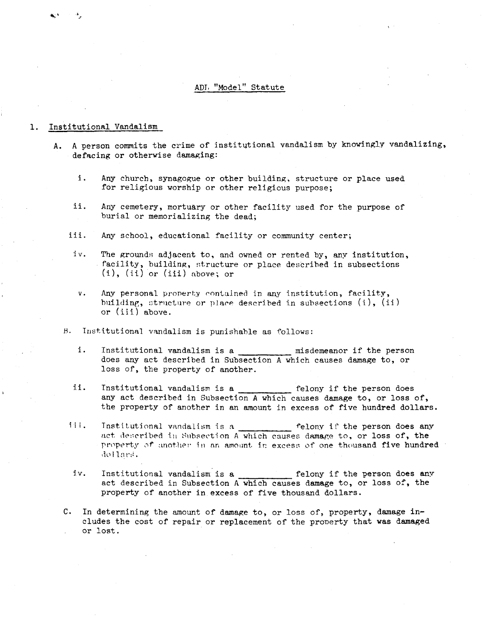### **ADL "Model" Statute**

#### $\mathbf{1}$ . **Institutional Vandalism**

- **A. A person commits the crime of institutional vandalism by knowingly vandalizing, defacing or otherwise damaging:** 
	- **i. Any church, synagogue or other building, structure or place used for religious worship or other religious purpose;**
	- **ii. Any cemetery, mortuary or other facility used for the purpose of burial or memorializing the dead;**
	- **iii. Any school, educational facility or community center;**
	- **iv. The grounds adjacent to, and owned or rented by, any institution, facility, building, structure or place described in subsections (i), (ii) or (iii) above; or** 
		- **v. Any personal property contained in any institution, facility, building, structure or place described in subsections (i), (ii) or (i i i ) above.**
	- **B. Institutional vandalism is punishable as follows:** 
		- **i. Institutional vandalism is a misdemeanor if the person does any act described in Subsection A which causes damage to, or loss of, the property of another.**
		- ii. Institutional vandalism is a **felony** if the person does **any act described in Subsection A which causes damage to, or loss of, the property of another in an amount in excess of five hundred dollars.**
	- **iii.** Institutional vandalism is a **felony if the person does any act described in Subsection A which causes damage to, or loss of, the**  property of unother in an amount in excess of one thousand five hundred **do lint•;•־.**
	- iv. Institutional vandalism is a **felony** if the person does any **act described in Subsection A which causes damage to, or loss of, the property of another in excess of five thousand dollars.**
	- **C. In determining the amount of damage to, or loss of, property, damage ineludes the cost of repair or replacement of the property that was damaged or lost.**